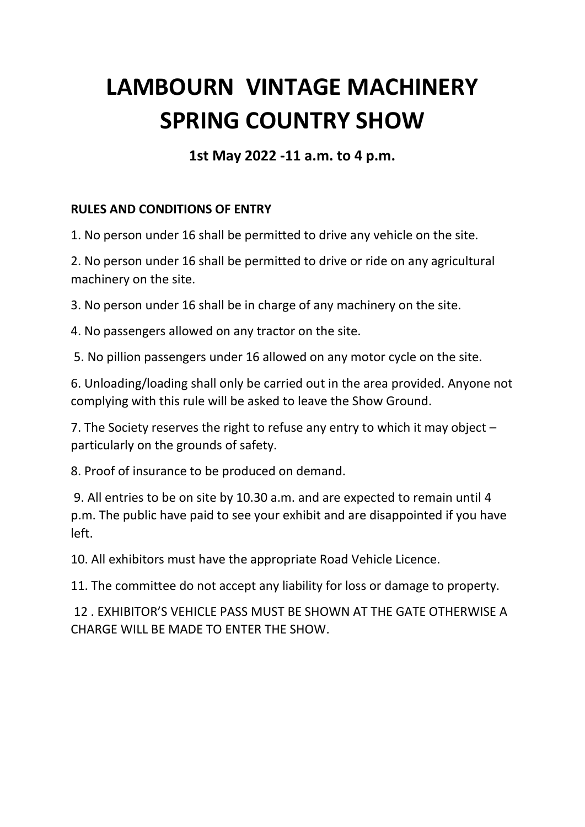## **LAMBOURN VINTAGE MACHINERY SPRING COUNTRY SHOW**

**1st May 2022 -11 a.m. to 4 p.m.**

## **RULES AND CONDITIONS OF ENTRY**

1. No person under 16 shall be permitted to drive any vehicle on the site.

2. No person under 16 shall be permitted to drive or ride on any agricultural machinery on the site.

3. No person under 16 shall be in charge of any machinery on the site.

4. No passengers allowed on any tractor on the site.

5. No pillion passengers under 16 allowed on any motor cycle on the site.

6. Unloading/loading shall only be carried out in the area provided. Anyone not complying with this rule will be asked to leave the Show Ground.

7. The Society reserves the right to refuse any entry to which it may object – particularly on the grounds of safety.

8. Proof of insurance to be produced on demand.

9. All entries to be on site by 10.30 a.m. and are expected to remain until 4 p.m. The public have paid to see your exhibit and are disappointed if you have left.

10. All exhibitors must have the appropriate Road Vehicle Licence.

11. The committee do not accept any liability for loss or damage to property.

12 . EXHIBITOR'S VEHICLE PASS MUST BE SHOWN AT THE GATE OTHERWISE A CHARGE WILL BE MADE TO ENTER THE SHOW.